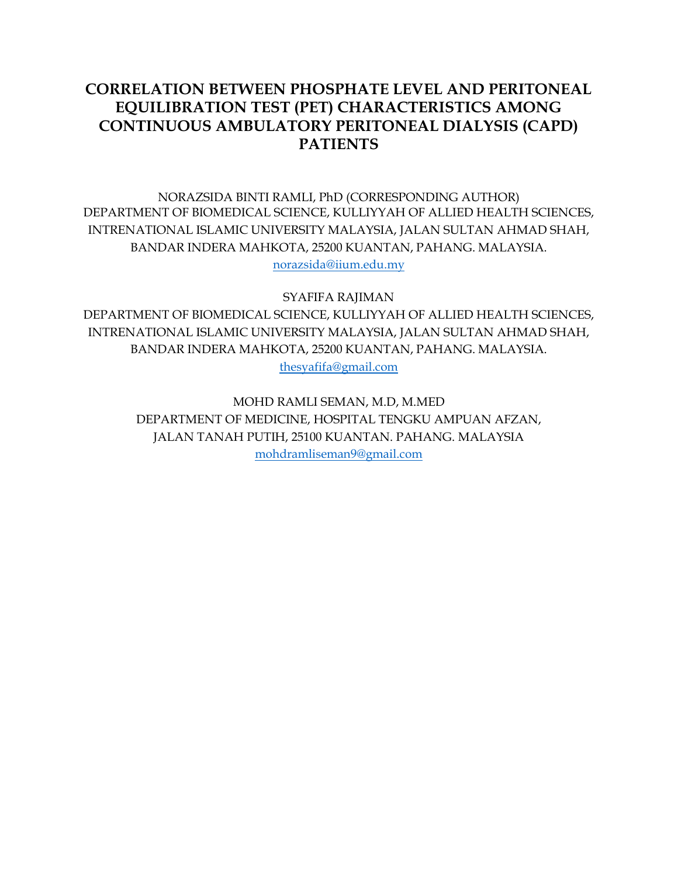# **CORRELATION BETWEEN PHOSPHATE LEVEL AND PERITONEAL EQUILIBRATION TEST (PET) CHARACTERISTICS AMONG CONTINUOUS AMBULATORY PERITONEAL DIALYSIS (CAPD) PATIENTS**

NORAZSIDA BINTI RAMLI, PhD (CORRESPONDING AUTHOR) DEPARTMENT OF BIOMEDICAL SCIENCE, KULLIYYAH OF ALLIED HEALTH SCIENCES, INTRENATIONAL ISLAMIC UNIVERSITY MALAYSIA, JALAN SULTAN AHMAD SHAH, BANDAR INDERA MAHKOTA, 25200 KUANTAN, PAHANG. MALAYSIA. [norazsida@iium.edu.my](mailto:norazsida@iium.edu.my)

SYAFIFA RAJIMAN

DEPARTMENT OF BIOMEDICAL SCIENCE, KULLIYYAH OF ALLIED HEALTH SCIENCES, INTRENATIONAL ISLAMIC UNIVERSITY MALAYSIA, JALAN SULTAN AHMAD SHAH, BANDAR INDERA MAHKOTA, 25200 KUANTAN, PAHANG. MALAYSIA. [thesyafifa@gmail.com](mailto:thesyafifa@gmail.com)

> MOHD RAMLI SEMAN, M.D, M.MED DEPARTMENT OF MEDICINE, HOSPITAL TENGKU AMPUAN AFZAN, JALAN TANAH PUTIH, 25100 KUANTAN. PAHANG. MALAYSIA [mohdramliseman9@gmail.com](mailto:Mohdramliseman9@gmail.com)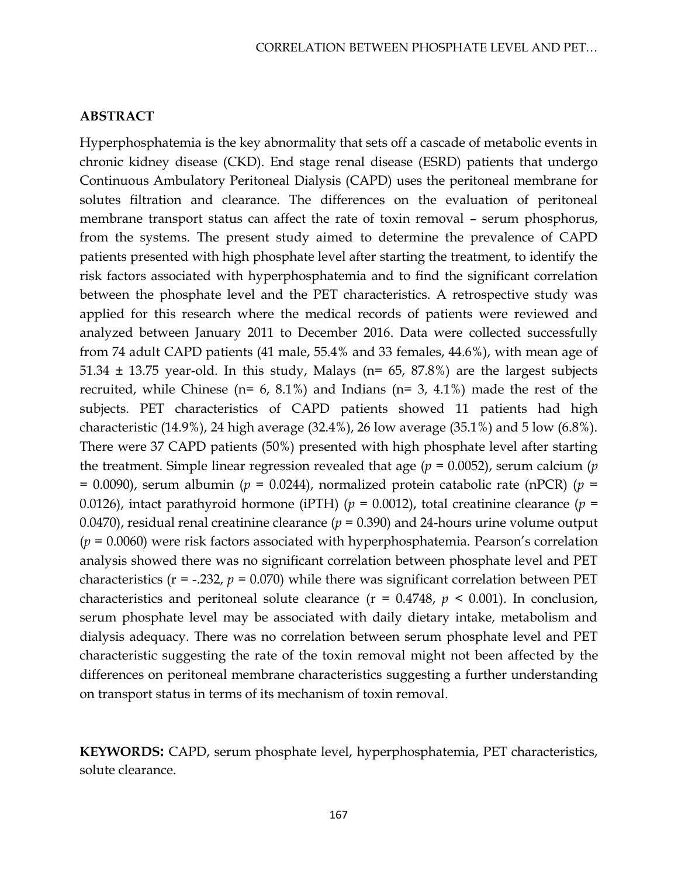### **ABSTRACT**

Hyperphosphatemia is the key abnormality that sets off a cascade of metabolic events in chronic kidney disease (CKD). End stage renal disease (ESRD) patients that undergo Continuous Ambulatory Peritoneal Dialysis (CAPD) uses the peritoneal membrane for solutes filtration and clearance. The differences on the evaluation of peritoneal membrane transport status can affect the rate of toxin removal – serum phosphorus, from the systems. The present study aimed to determine the prevalence of CAPD patients presented with high phosphate level after starting the treatment, to identify the risk factors associated with hyperphosphatemia and to find the significant correlation between the phosphate level and the PET characteristics. A retrospective study was applied for this research where the medical records of patients were reviewed and analyzed between January 2011 to December 2016. Data were collected successfully from 74 adult CAPD patients (41 male, 55.4% and 33 females, 44.6%), with mean age of 51.34  $\pm$  13.75 year-old. In this study, Malays (n= 65, 87.8%) are the largest subjects recruited, while Chinese ( $n= 6, 8.1\%$ ) and Indians ( $n= 3, 4.1\%$ ) made the rest of the subjects. PET characteristics of CAPD patients showed 11 patients had high characteristic (14.9%), 24 high average (32.4%), 26 low average (35.1%) and 5 low (6.8%). There were 37 CAPD patients (50%) presented with high phosphate level after starting the treatment. Simple linear regression revealed that age (*p* = 0.0052), serum calcium (*p*  = 0.0090), serum albumin (*p* = 0.0244), normalized protein catabolic rate (nPCR) (*p* = 0.0126), intact parathyroid hormone (iPTH) (*p* = 0.0012), total creatinine clearance (*p* = 0.0470), residual renal creatinine clearance ( $p = 0.390$ ) and 24-hours urine volume output (*p* = 0.0060) were risk factors associated with hyperphosphatemia. Pearson's correlation analysis showed there was no significant correlation between phosphate level and PET characteristics ( $r = -0.232$ ,  $p = 0.070$ ) while there was significant correlation between PET characteristics and peritoneal solute clearance  $(r = 0.4748, p < 0.001)$ . In conclusion, serum phosphate level may be associated with daily dietary intake, metabolism and dialysis adequacy. There was no correlation between serum phosphate level and PET characteristic suggesting the rate of the toxin removal might not been affected by the differences on peritoneal membrane characteristics suggesting a further understanding on transport status in terms of its mechanism of toxin removal.

**KEYWORDS:** CAPD, serum phosphate level, hyperphosphatemia, PET characteristics, solute clearance.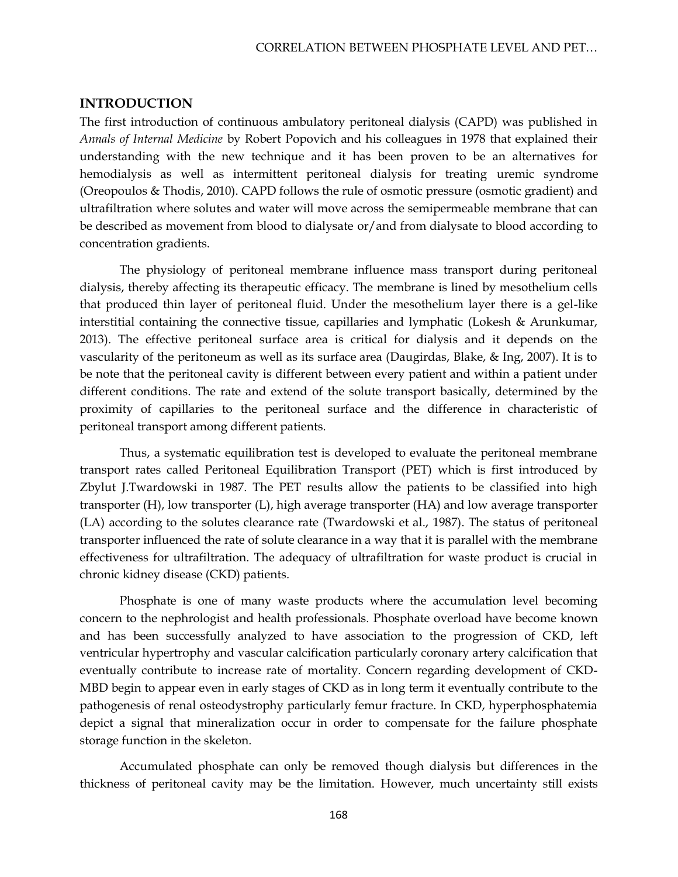### **INTRODUCTION**

The first introduction of continuous ambulatory peritoneal dialysis (CAPD) was published in *Annals of Internal Medicine* by Robert Popovich and his colleagues in 1978 that explained their understanding with the new technique and it has been proven to be an alternatives for hemodialysis as well as intermittent peritoneal dialysis for treating uremic syndrome (Oreopoulos & Thodis, 2010). CAPD follows the rule of osmotic pressure (osmotic gradient) and ultrafiltration where solutes and water will move across the semipermeable membrane that can be described as movement from blood to dialysate or/and from dialysate to blood according to concentration gradients.

The physiology of peritoneal membrane influence mass transport during peritoneal dialysis, thereby affecting its therapeutic efficacy. The membrane is lined by mesothelium cells that produced thin layer of peritoneal fluid. Under the mesothelium layer there is a gel-like interstitial containing the connective tissue, capillaries and lymphatic (Lokesh & Arunkumar, 2013). The effective peritoneal surface area is critical for dialysis and it depends on the vascularity of the peritoneum as well as its surface area (Daugirdas, Blake, & Ing, 2007). It is to be note that the peritoneal cavity is different between every patient and within a patient under different conditions. The rate and extend of the solute transport basically, determined by the proximity of capillaries to the peritoneal surface and the difference in characteristic of peritoneal transport among different patients.

Thus, a systematic equilibration test is developed to evaluate the peritoneal membrane transport rates called Peritoneal Equilibration Transport (PET) which is first introduced by Zbylut J.Twardowski in 1987. The PET results allow the patients to be classified into high transporter (H), low transporter (L), high average transporter (HA) and low average transporter (LA) according to the solutes clearance rate (Twardowski et al., 1987). The status of peritoneal transporter influenced the rate of solute clearance in a way that it is parallel with the membrane effectiveness for ultrafiltration. The adequacy of ultrafiltration for waste product is crucial in chronic kidney disease (CKD) patients.

Phosphate is one of many waste products where the accumulation level becoming concern to the nephrologist and health professionals. Phosphate overload have become known and has been successfully analyzed to have association to the progression of CKD, left ventricular hypertrophy and vascular calcification particularly coronary artery calcification that eventually contribute to increase rate of mortality. Concern regarding development of CKD-MBD begin to appear even in early stages of CKD as in long term it eventually contribute to the pathogenesis of renal osteodystrophy particularly femur fracture. In CKD, hyperphosphatemia depict a signal that mineralization occur in order to compensate for the failure phosphate storage function in the skeleton.

Accumulated phosphate can only be removed though dialysis but differences in the thickness of peritoneal cavity may be the limitation. However, much uncertainty still exists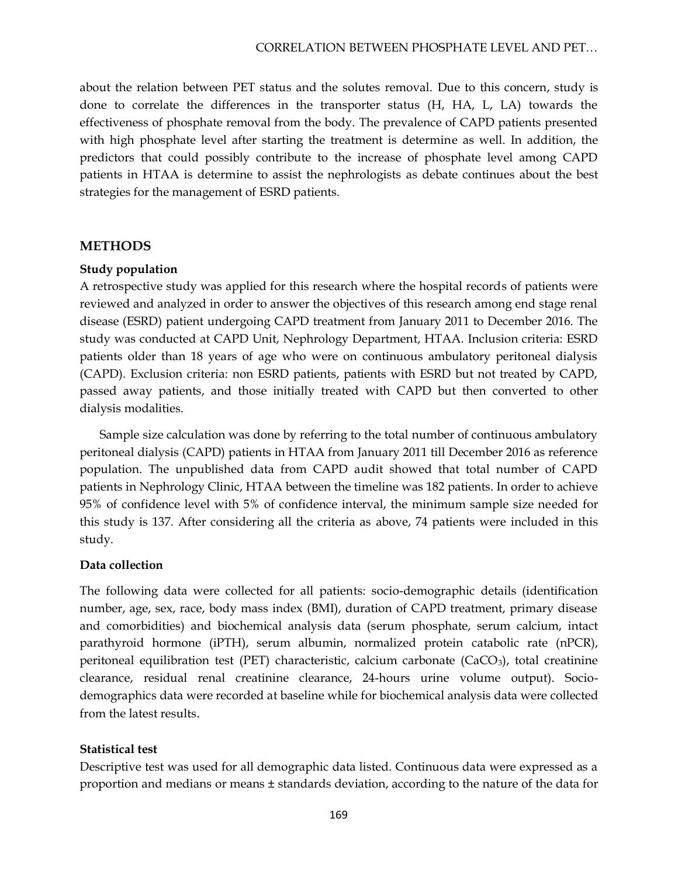about the relation between PET status and the solutes removal. Due to this concern, study is done to correlate the differences in the transporter status (H, HA, L, LA) towards the effectiveness of phosphate removal from the body. The prevalence of CAPD patients presented with high phosphate level after starting the treatment is determine as well. In addition, the predictors that could possibly contribute to the increase of phosphate level among CAPD patients in HTAA is determine to assist the nephrologists as debate continues about the best strategies for the management of ESRD patients.

### **METHODS**

### **Study population**

A retrospective study was applied for this research where the hospital records of patients were reviewed and analyzed in order to answer the objectives of this research among end stage renal disease (ESRD) patient undergoing CAPD treatment from January 2011 to December 2016. The study was conducted at CAPD Unit, Nephrology Department, HTAA. Inclusion criteria: ESRD patients older than 18 years of age who were on continuous ambulatory peritoneal dialysis (CAPD). Exclusion criteria: non ESRD patients, patients with ESRD but not treated by CAPD, passed away patients, and those initially treated with CAPD but then converted to other dialysis modalities.

Sample size calculation was done by referring to the total number of continuous ambulatory peritoneal dialysis (CAPD) patients in HTAA from January 2011 till December 2016 as reference population. The unpublished data from CAPD audit showed that total number of CAPD patients in Nephrology Clinic, HTAA between the timeline was 182 patients. In order to achieve 95% of confidence level with 5% of confidence interval, the minimum sample size needed for this study is 137. After considering all the criteria as above, 74 patients were included in this study.

### **Data collection**

The following data were collected for all patients: socio-demographic details (identification number, age, sex, race, body mass index (BMI), duration of CAPD treatment, primary disease and comorbidities) and biochemical analysis data (serum phosphate, serum calcium, intact parathyroid hormone (iPTH), serum albumin, normalized protein catabolic rate (nPCR), peritoneal equilibration test (PET) characteristic, calcium carbonate (CaCO<sub>3</sub>), total creatinine clearance, residual renal creatinine clearance, 24-hours urine volume output). Sociodemographics data were recorded at baseline while for biochemical analysis data were collected from the latest results.

### **Statistical test**

Descriptive test was used for all demographic data listed. Continuous data were expressed as a proportion and medians or means ± standards deviation, according to the nature of the data for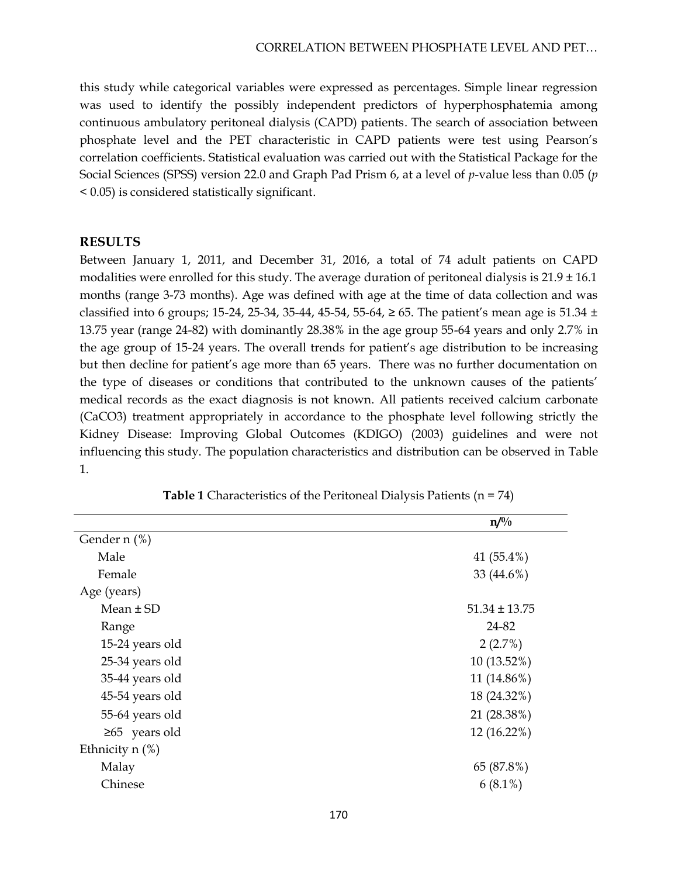this study while categorical variables were expressed as percentages. Simple linear regression was used to identify the possibly independent predictors of hyperphosphatemia among continuous ambulatory peritoneal dialysis (CAPD) patients. The search of association between phosphate level and the PET characteristic in CAPD patients were test using Pearson's correlation coefficients. Statistical evaluation was carried out with the Statistical Package for the Social Sciences (SPSS) version 22.0 and Graph Pad Prism 6, at a level of *p*-value less than 0.05 (*p* < 0.05) is considered statistically significant.

### **RESULTS**

Between January 1, 2011, and December 31, 2016, a total of 74 adult patients on CAPD modalities were enrolled for this study. The average duration of peritoneal dialysis is  $21.9 \pm 16.1$ months (range 3-73 months). Age was defined with age at the time of data collection and was classified into 6 groups; 15-24, 25-34, 35-44, 45-54, 55-64,  $\geq$  65. The patient's mean age is 51.34  $\pm$ 13.75 year (range 24-82) with dominantly 28.38% in the age group 55-64 years and only 2.7% in the age group of 15-24 years. The overall trends for patient's age distribution to be increasing but then decline for patient's age more than 65 years. There was no further documentation on the type of diseases or conditions that contributed to the unknown causes of the patients' medical records as the exact diagnosis is not known. All patients received calcium carbonate (CaCO3) treatment appropriately in accordance to the phosphate level following strictly the Kidney Disease: Improving Global Outcomes (KDIGO) (2003) guidelines and were not influencing this study. The population characteristics and distribution can be observed in Table 1.

|                     | $n^{0/6}$         |
|---------------------|-------------------|
| Gender $n$ (%)      |                   |
| Male                | 41 (55.4%)        |
| Female              | 33 (44.6%)        |
| Age (years)         |                   |
| Mean $\pm$ SD       | $51.34 \pm 13.75$ |
| Range               | 24-82             |
| 15-24 years old     | 2(2.7%)           |
| 25-34 years old     | $10(13.52\%)$     |
| 35-44 years old     | 11 (14.86%)       |
| 45-54 years old     | 18 (24.32%)       |
| 55-64 years old     | 21 (28.38%)       |
| $\geq 65$ years old | 12 (16.22%)       |
| Ethnicity $n$ (%)   |                   |
| Malay               | 65 (87.8%)        |
| Chinese             | $6(8.1\%)$        |
|                     |                   |

**Table 1** Characteristics of the Peritoneal Dialysis Patients (n = 74)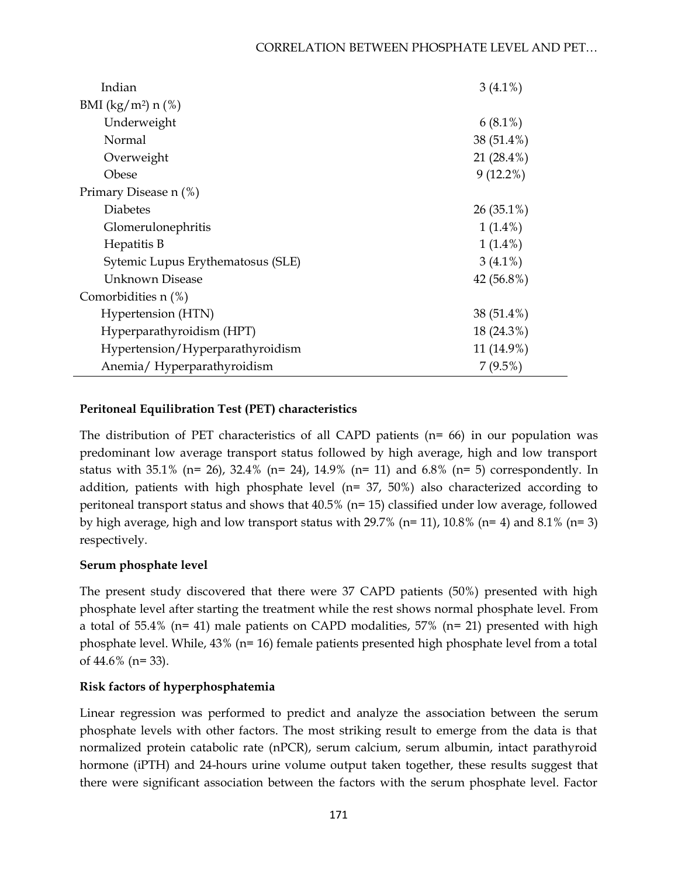| Indian                            | $3(4.1\%)$    |
|-----------------------------------|---------------|
| BMI $(kg/m^2)$ n $(\%)$           |               |
| Underweight                       | $6(8.1\%)$    |
| Normal                            | 38 (51.4%)    |
| Overweight                        | 21 $(28.4\%)$ |
| Obese                             | $9(12.2\%)$   |
| Primary Disease n (%)             |               |
| <b>Diabetes</b>                   | $26(35.1\%)$  |
| Glomerulonephritis                | $1(1.4\%)$    |
| Hepatitis B                       | $1(1.4\%)$    |
| Sytemic Lupus Erythematosus (SLE) | $3(4.1\%)$    |
| Unknown Disease                   | 42 (56.8%)    |
| Comorbidities n (%)               |               |
| Hypertension (HTN)                | 38 (51.4%)    |
| Hyperparathyroidism (HPT)         | 18 (24.3%)    |
| Hypertension/Hyperparathyroidism  | 11 (14.9%)    |
| Anemia/Hyperparathyroidism        | $7(9.5\%)$    |

# **Peritoneal Equilibration Test (PET) characteristics**

The distribution of PET characteristics of all CAPD patients ( $n= 66$ ) in our population was predominant low average transport status followed by high average, high and low transport status with 35.1% (n= 26), 32.4% (n= 24), 14.9% (n= 11) and 6.8% (n= 5) correspondently. In addition, patients with high phosphate level ( $n= 37, 50\%$ ) also characterized according to peritoneal transport status and shows that 40.5% (n= 15) classified under low average, followed by high average, high and low transport status with 29.7% ( $n=11$ ), 10.8% ( $n=4$ ) and 8.1% ( $n=3$ ) respectively.

# **Serum phosphate level**

The present study discovered that there were 37 CAPD patients (50%) presented with high phosphate level after starting the treatment while the rest shows normal phosphate level. From a total of 55.4% (n= 41) male patients on CAPD modalities, 57% (n= 21) presented with high phosphate level. While, 43% (n= 16) female patients presented high phosphate level from a total of 44.6% (n= 33).

# **Risk factors of hyperphosphatemia**

Linear regression was performed to predict and analyze the association between the serum phosphate levels with other factors. The most striking result to emerge from the data is that normalized protein catabolic rate (nPCR), serum calcium, serum albumin, intact parathyroid hormone (iPTH) and 24-hours urine volume output taken together, these results suggest that there were significant association between the factors with the serum phosphate level. Factor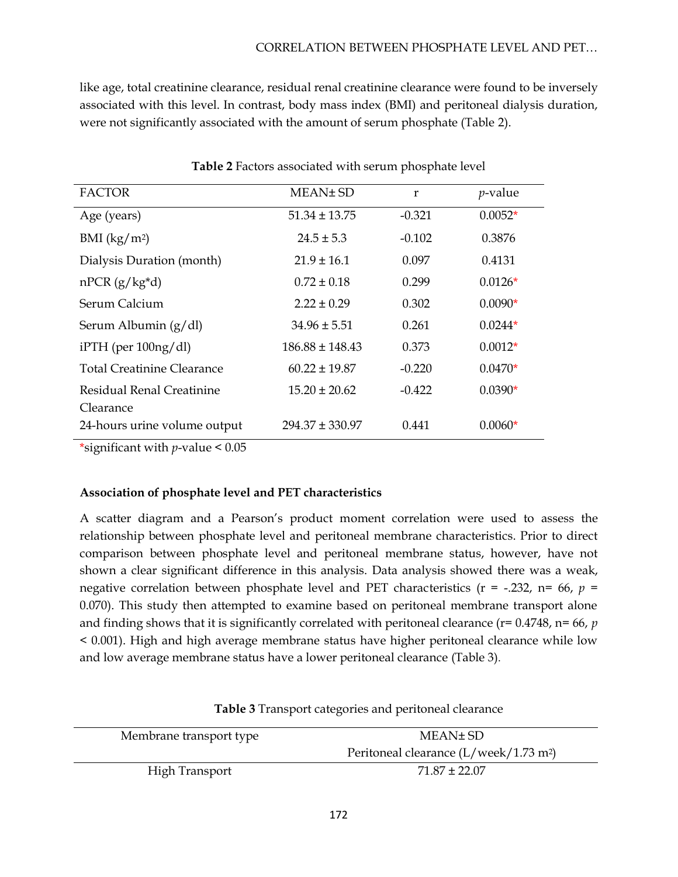like age, total creatinine clearance, residual renal creatinine clearance were found to be inversely associated with this level. In contrast, body mass index (BMI) and peritoneal dialysis duration, were not significantly associated with the amount of serum phosphate (Table 2).

| <b>FACTOR</b>                | MEAN± SD            | r        | $p$ -value |  |
|------------------------------|---------------------|----------|------------|--|
| Age (years)                  | $51.34 \pm 13.75$   | $-0.321$ | $0.0052*$  |  |
| BMI $(kg/m2)$                | $24.5 \pm 5.3$      | $-0.102$ | 0.3876     |  |
| Dialysis Duration (month)    | $21.9 \pm 16.1$     | 0.097    | 0.4131     |  |
| $nPCR (g/kg*d)$              | $0.72 \pm 0.18$     | 0.299    | $0.0126*$  |  |
| Serum Calcium                | $2.22 \pm 0.29$     | 0.302    | $0.0090*$  |  |
| Serum Albumin $(g/dl)$       | $34.96 \pm 5.51$    | 0.261    | $0.0244*$  |  |
| $i$ PTH (per 100ng/dl)       | $186.88 \pm 148.43$ | 0.373    | $0.0012*$  |  |
| Total Creatinine Clearance   | $60.22 \pm 19.87$   | $-0.220$ | $0.0470*$  |  |
| Residual Renal Creatinine    | $15.20 \pm 20.62$   | $-0.422$ | $0.0390*$  |  |
| Clearance                    |                     |          |            |  |
| 24-hours urine volume output | $294.37 \pm 330.97$ | 0.441    | $0.0060*$  |  |

**Table 2** Factors associated with serum phosphate level

\*significant with *p*-value < 0.05

### **Association of phosphate level and PET characteristics**

A scatter diagram and a Pearson's product moment correlation were used to assess the relationship between phosphate level and peritoneal membrane characteristics. Prior to direct comparison between phosphate level and peritoneal membrane status, however, have not shown a clear significant difference in this analysis. Data analysis showed there was a weak, negative correlation between phosphate level and PET characteristics ( $r = -1.232$ ,  $n = 66$ ,  $p =$ 0.070). This study then attempted to examine based on peritoneal membrane transport alone and finding shows that it is significantly correlated with peritoneal clearance (r= 0.4748, n= 66, *p*  < 0.001). High and high average membrane status have higher peritoneal clearance while low and low average membrane status have a lower peritoneal clearance (Table 3).

| Membrane transport type | MEAN± SD                                           |
|-------------------------|----------------------------------------------------|
|                         | Peritoneal clearance (L/week/1.73 m <sup>2</sup> ) |
| <b>High Transport</b>   | $71.87 \pm 22.07$                                  |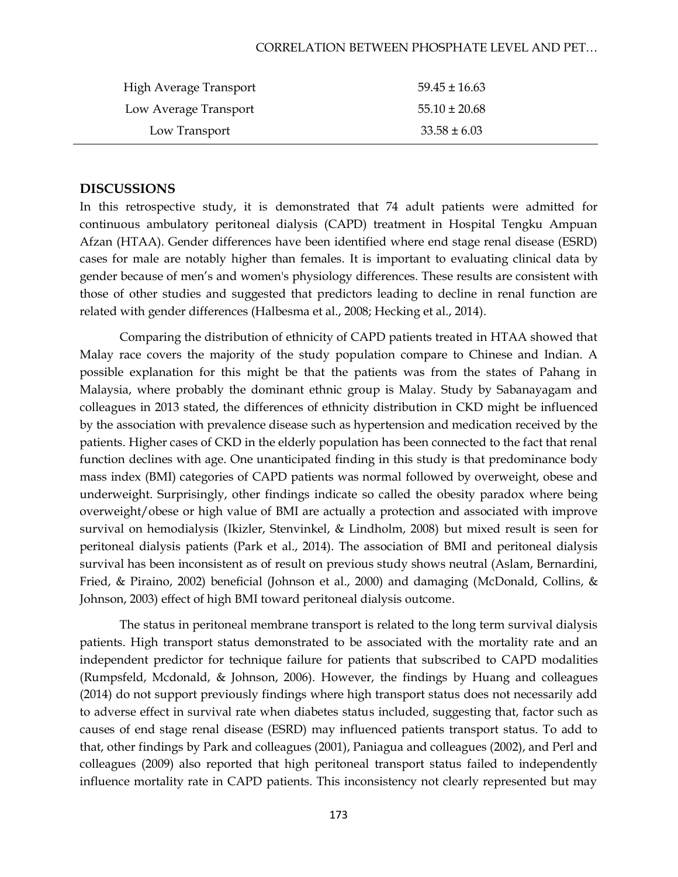#### CORRELATION BETWEEN PHOSPHATE LEVEL AND PET…

| High Average Transport | $59.45 \pm 16.63$ |
|------------------------|-------------------|
| Low Average Transport  | $55.10 \pm 20.68$ |
| Low Transport          | $33.58 \pm 6.03$  |

### **DISCUSSIONS**

In this retrospective study, it is demonstrated that 74 adult patients were admitted for continuous ambulatory peritoneal dialysis (CAPD) treatment in Hospital Tengku Ampuan Afzan (HTAA). Gender differences have been identified where end stage renal disease (ESRD) cases for male are notably higher than females. It is important to evaluating clinical data by gender because of men's and women's physiology differences. These results are consistent with those of other studies and suggested that predictors leading to decline in renal function are related with gender differences (Halbesma et al., 2008; Hecking et al., 2014).

Comparing the distribution of ethnicity of CAPD patients treated in HTAA showed that Malay race covers the majority of the study population compare to Chinese and Indian. A possible explanation for this might be that the patients was from the states of Pahang in Malaysia, where probably the dominant ethnic group is Malay. Study by Sabanayagam and colleagues in 2013 stated, the differences of ethnicity distribution in CKD might be influenced by the association with prevalence disease such as hypertension and medication received by the patients. Higher cases of CKD in the elderly population has been connected to the fact that renal function declines with age. One unanticipated finding in this study is that predominance body mass index (BMI) categories of CAPD patients was normal followed by overweight, obese and underweight. Surprisingly, other findings indicate so called the obesity paradox where being overweight/obese or high value of BMI are actually a protection and associated with improve survival on hemodialysis (Ikizler, Stenvinkel, & Lindholm, 2008) but mixed result is seen for peritoneal dialysis patients (Park et al., 2014). The association of BMI and peritoneal dialysis survival has been inconsistent as of result on previous study shows neutral (Aslam, Bernardini, Fried, & Piraino, 2002) beneficial (Johnson et al., 2000) and damaging (McDonald, Collins, & Johnson, 2003) effect of high BMI toward peritoneal dialysis outcome.

The status in peritoneal membrane transport is related to the long term survival dialysis patients. High transport status demonstrated to be associated with the mortality rate and an independent predictor for technique failure for patients that subscribed to CAPD modalities (Rumpsfeld, Mcdonald, & Johnson, 2006). However, the findings by Huang and colleagues (2014) do not support previously findings where high transport status does not necessarily add to adverse effect in survival rate when diabetes status included, suggesting that, factor such as causes of end stage renal disease (ESRD) may influenced patients transport status. To add to that, other findings by Park and colleagues (2001), Paniagua and colleagues (2002), and Perl and colleagues (2009) also reported that high peritoneal transport status failed to independently influence mortality rate in CAPD patients. This inconsistency not clearly represented but may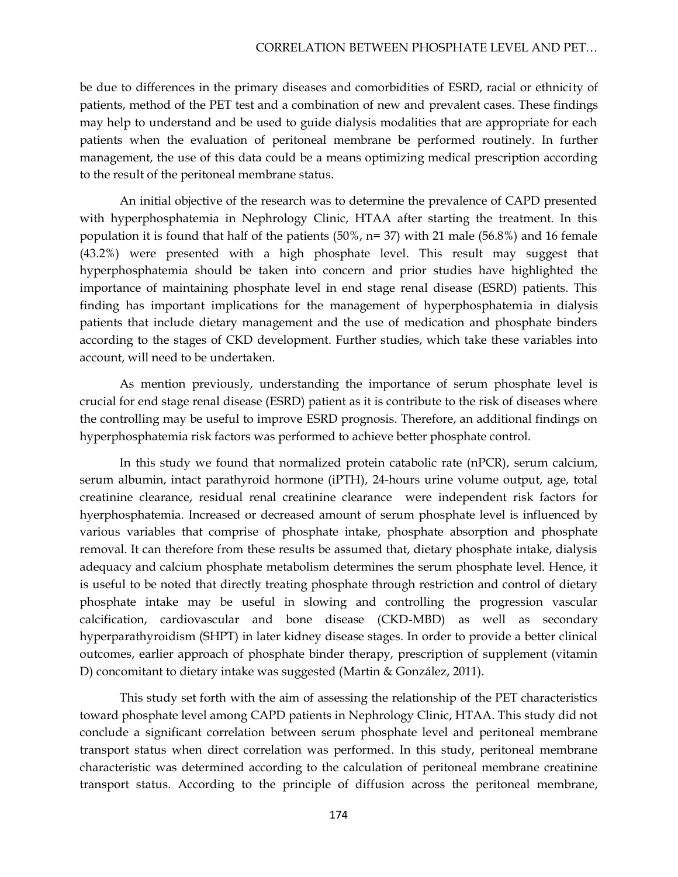be due to differences in the primary diseases and comorbidities of ESRD, racial or ethnicity of patients, method of the PET test and a combination of new and prevalent cases. These findings may help to understand and be used to guide dialysis modalities that are appropriate for each patients when the evaluation of peritoneal membrane be performed routinely. In further management, the use of this data could be a means optimizing medical prescription according to the result of the peritoneal membrane status.

An initial objective of the research was to determine the prevalence of CAPD presented with hyperphosphatemia in Nephrology Clinic, HTAA after starting the treatment. In this population it is found that half of the patients  $(50\%, n=37)$  with 21 male  $(56.8\%)$  and 16 female (43.2%) were presented with a high phosphate level. This result may suggest that hyperphosphatemia should be taken into concern and prior studies have highlighted the importance of maintaining phosphate level in end stage renal disease (ESRD) patients. This finding has important implications for the management of hyperphosphatemia in dialysis patients that include dietary management and the use of medication and phosphate binders according to the stages of CKD development. Further studies, which take these variables into account, will need to be undertaken.

As mention previously, understanding the importance of serum phosphate level is crucial for end stage renal disease (ESRD) patient as it is contribute to the risk of diseases where the controlling may be useful to improve ESRD prognosis. Therefore, an additional findings on hyperphosphatemia risk factors was performed to achieve better phosphate control.

In this study we found that normalized protein catabolic rate (nPCR), serum calcium, serum albumin, intact parathyroid hormone (iPTH), 24-hours urine volume output, age, total creatinine clearance, residual renal creatinine clearance were independent risk factors for hyerphosphatemia. Increased or decreased amount of serum phosphate level is influenced by various variables that comprise of phosphate intake, phosphate absorption and phosphate removal. It can therefore from these results be assumed that, dietary phosphate intake, dialysis adequacy and calcium phosphate metabolism determines the serum phosphate level. Hence, it is useful to be noted that directly treating phosphate through restriction and control of dietary phosphate intake may be useful in slowing and controlling the progression vascular calcification, cardiovascular and bone disease (CKD-MBD) as well as secondary hyperparathyroidism (SHPT) in later kidney disease stages. In order to provide a better clinical outcomes, earlier approach of phosphate binder therapy, prescription of supplement (vitamin D) concomitant to dietary intake was suggested (Martin & González, 2011).

This study set forth with the aim of assessing the relationship of the PET characteristics toward phosphate level among CAPD patients in Nephrology Clinic, HTAA. This study did not conclude a significant correlation between serum phosphate level and peritoneal membrane transport status when direct correlation was performed. In this study, peritoneal membrane characteristic was determined according to the calculation of peritoneal membrane creatinine transport status. According to the principle of diffusion across the peritoneal membrane,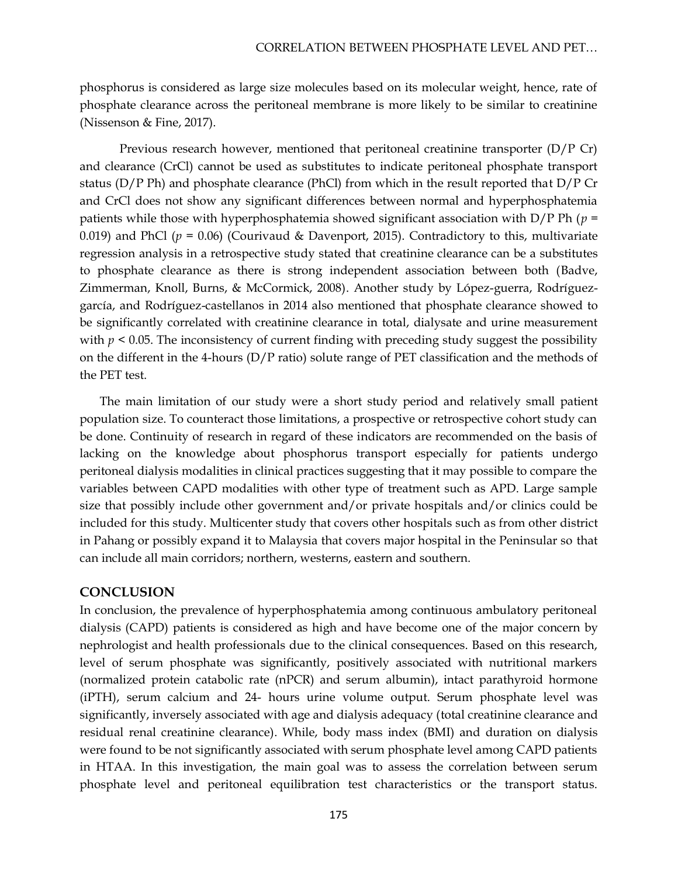phosphorus is considered as large size molecules based on its molecular weight, hence, rate of phosphate clearance across the peritoneal membrane is more likely to be similar to creatinine (Nissenson & Fine, 2017).

Previous research however, mentioned that peritoneal creatinine transporter (D/P Cr) and clearance (CrCl) cannot be used as substitutes to indicate peritoneal phosphate transport status ( $D/P$  Ph) and phosphate clearance (PhCl) from which in the result reported that  $D/P$  Cr and CrCl does not show any significant differences between normal and hyperphosphatemia patients while those with hyperphosphatemia showed significant association with D/P Ph (*p* = 0.019) and PhCl ( $p = 0.06$ ) (Courivaud & Davenport, 2015). Contradictory to this, multivariate regression analysis in a retrospective study stated that creatinine clearance can be a substitutes to phosphate clearance as there is strong independent association between both (Badve, Zimmerman, Knoll, Burns, & McCormick, 2008). Another study by López-guerra, Rodríguezgarcía, and Rodríguez-castellanos in 2014 also mentioned that phosphate clearance showed to be significantly correlated with creatinine clearance in total, dialysate and urine measurement with  $p \leq 0.05$ . The inconsistency of current finding with preceding study suggest the possibility on the different in the 4-hours (D/P ratio) solute range of PET classification and the methods of the PET test.

The main limitation of our study were a short study period and relatively small patient population size. To counteract those limitations, a prospective or retrospective cohort study can be done. Continuity of research in regard of these indicators are recommended on the basis of lacking on the knowledge about phosphorus transport especially for patients undergo peritoneal dialysis modalities in clinical practices suggesting that it may possible to compare the variables between CAPD modalities with other type of treatment such as APD. Large sample size that possibly include other government and/or private hospitals and/or clinics could be included for this study. Multicenter study that covers other hospitals such as from other district in Pahang or possibly expand it to Malaysia that covers major hospital in the Peninsular so that can include all main corridors; northern, westerns, eastern and southern.

### **CONCLUSION**

In conclusion, the prevalence of hyperphosphatemia among continuous ambulatory peritoneal dialysis (CAPD) patients is considered as high and have become one of the major concern by nephrologist and health professionals due to the clinical consequences. Based on this research, level of serum phosphate was significantly, positively associated with nutritional markers (normalized protein catabolic rate (nPCR) and serum albumin), intact parathyroid hormone (iPTH), serum calcium and 24- hours urine volume output. Serum phosphate level was significantly, inversely associated with age and dialysis adequacy (total creatinine clearance and residual renal creatinine clearance). While, body mass index (BMI) and duration on dialysis were found to be not significantly associated with serum phosphate level among CAPD patients in HTAA. In this investigation, the main goal was to assess the correlation between serum phosphate level and peritoneal equilibration test characteristics or the transport status.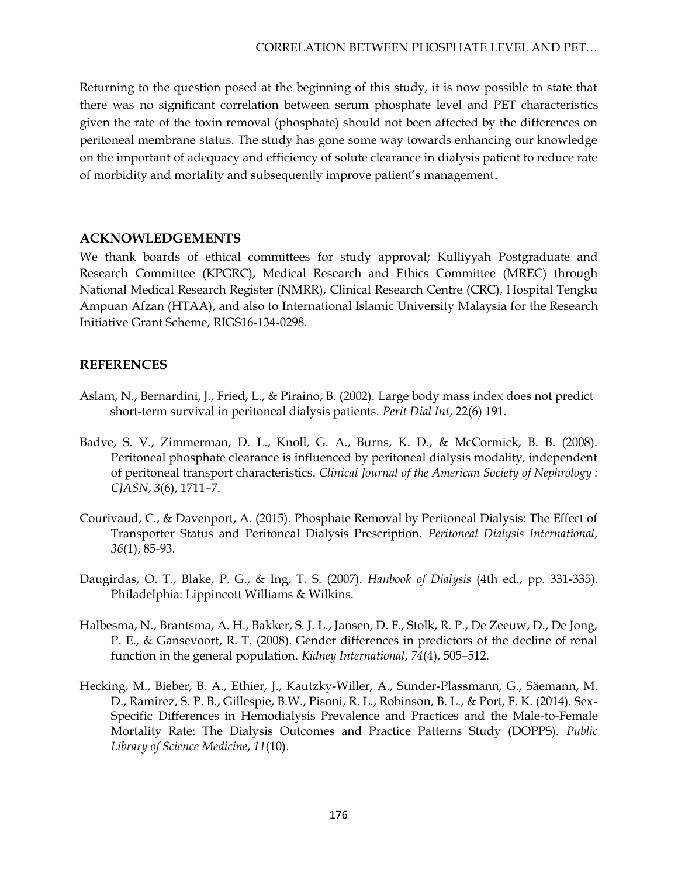Returning to the question posed at the beginning of this study, it is now possible to state that there was no significant correlation between serum phosphate level and PET characteristics given the rate of the toxin removal (phosphate) should not been affected by the differences on peritoneal membrane status. The study has gone some way towards enhancing our knowledge on the important of adequacy and efficiency of solute clearance in dialysis patient to reduce rate of morbidity and mortality and subsequently improve patient's management.

### **ACKNOWLEDGEMENTS**

We thank boards of ethical committees for study approval; Kulliyyah Postgraduate and Research Committee (KPGRC), Medical Research and Ethics Committee (MREC) through National Medical Research Register (NMRR), Clinical Research Centre (CRC), Hospital Tengku Ampuan Afzan (HTAA), and also to International Islamic University Malaysia for the Research Initiative Grant Scheme, RIGS16-134-0298.

# **REFERENCES**

- Aslam, N., Bernardini, J., Fried, L., & Piraino, B. (2002). Large body mass index does not predict short-term survival in peritoneal dialysis patients*. Perit Dial Int*, 22(6) 191.
- Badve, S. V., Zimmerman, D. L., Knoll, G. A., Burns, K. D., & McCormick, B. B. (2008). Peritoneal phosphate clearance is influenced by peritoneal dialysis modality, independent of peritoneal transport characteristics. *Clinical Journal of the American Society of Nephrology : CJASN*, *3*(6), 1711–7.
- Courivaud, C., & Davenport, A. (2015). Phosphate Removal by Peritoneal Dialysis: The Effect of Transporter Status and Peritoneal Dialysis Prescription. *Peritoneal Dialysis International*, *36*(1), 85-93.
- Daugirdas, O. T., Blake, P. G., & Ing, T. S. (2007). *Hanbook of Dialysis* (4th ed., pp. 331-335). Philadelphia: Lippincott Williams & Wilkins.
- Halbesma, N., Brantsma, A. H., Bakker, S. J. L., Jansen, D. F., Stolk, R. P., De Zeeuw, D., De Jong, P. E., & Gansevoort, R. T. (2008). Gender differences in predictors of the decline of renal function in the general population. *Kidney International*, *74*(4), 505–512.
- Hecking, M., Bieber, B. A., Ethier, J., Kautzky-Willer, A., Sunder-Plassmann, G., Säemann, M. D., Ramirez, S. P. B., Gillespie, B.W., Pisoni, R. L., Robinson, B. L., & Port, F. K. (2014). Sex-Specific Differences in Hemodialysis Prevalence and Practices and the Male-to-Female Mortality Rate: The Dialysis Outcomes and Practice Patterns Study (DOPPS). *Public Library of Science Medicine*, *11*(10).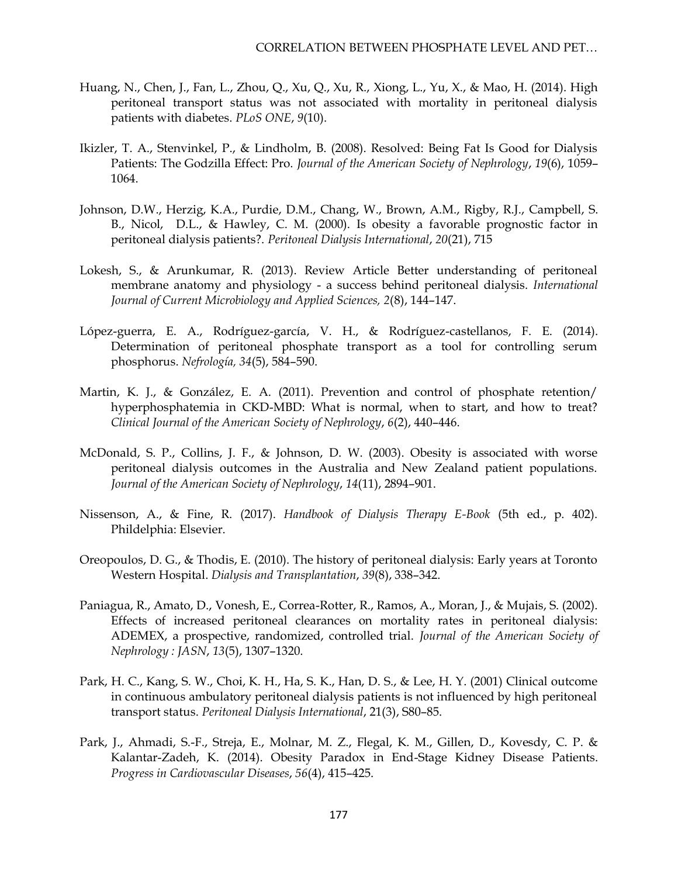- Huang, N., Chen, J., Fan, L., Zhou, Q., Xu, Q., Xu, R., Xiong, L., Yu, X., & Mao, H. (2014). High peritoneal transport status was not associated with mortality in peritoneal dialysis patients with diabetes. *PLoS ONE*, *9*(10).
- Ikizler, T. A., Stenvinkel, P., & Lindholm, B. (2008). Resolved: Being Fat Is Good for Dialysis Patients: The Godzilla Effect: Pro. *Journal of the American Society of Nephrology*, *19*(6), 1059– 1064.
- Johnson, D.W., Herzig, K.A., Purdie, D.M., Chang, W., Brown, A.M., Rigby, R.J., [Campbell, S.](https://www.ncbi.nlm.nih.gov/pubmed/?term=Campbell%20SB%5BAuthor%5D&cauthor=true&cauthor_uid=11216565)  [B.](https://www.ncbi.nlm.nih.gov/pubmed/?term=Campbell%20SB%5BAuthor%5D&cauthor=true&cauthor_uid=11216565), [Nicol, D.L.](https://www.ncbi.nlm.nih.gov/pubmed/?term=Nicol%20DL%5BAuthor%5D&cauthor=true&cauthor_uid=11216565), & [Hawley, C. M.](https://www.ncbi.nlm.nih.gov/pubmed/?term=Hawley%20CM%5BAuthor%5D&cauthor=true&cauthor_uid=11216565) (2000). Is obesity a favorable prognostic factor in peritoneal dialysis patients?. *Peritoneal Dialysis International*, *20*(21), 715
- Lokesh, S., & Arunkumar, R. (2013). Review Article Better understanding of peritoneal membrane anatomy and physiology - a success behind peritoneal dialysis. *International Journal of Current Microbiology and Applied Sciences, 2*(8), 144–147.
- López-guerra, E. A., Rodríguez-garcía, V. H., & Rodríguez-castellanos, F. E. (2014). Determination of peritoneal phosphate transport as a tool for controlling serum phosphorus. *Nefrología, 34*(5), 584–590.
- Martin, K. J., & González, E. A. (2011). Prevention and control of phosphate retention/ hyperphosphatemia in CKD-MBD: What is normal, when to start, and how to treat? *Clinical Journal of the American Society of Nephrology*, *6*(2), 440–446.
- McDonald, S. P., Collins, J. F., & Johnson, D. W. (2003). Obesity is associated with worse peritoneal dialysis outcomes in the Australia and New Zealand patient populations. *Journal of the American Society of Nephrology*, *14*(11), 2894–901.
- Nissenson, A., & Fine, R. (2017). *Handbook of Dialysis Therapy E-Book* (5th ed., p. 402). Phildelphia: Elsevier.
- Oreopoulos, D. G., & Thodis, E. (2010). The history of peritoneal dialysis: Early years at Toronto Western Hospital. *Dialysis and Transplantation*, *39*(8), 338–342.
- Paniagua, R., Amato, D., Vonesh, E., Correa-Rotter, R., Ramos, A., Moran, J., & Mujais, S. (2002). Effects of increased peritoneal clearances on mortality rates in peritoneal dialysis: ADEMEX, a prospective, randomized, controlled trial. *Journal of the American Society of Nephrology : JASN*, *13*(5), 1307–1320.
- Park, H. C., Kang, S. W., Choi, K. H., Ha, S. K., Han, D. S., & Lee, H. Y. (2001) Clinical outcome in continuous ambulatory peritoneal dialysis patients is not influenced by high peritoneal transport status. *Peritoneal Dialysis International*, 21(3), S80–85.
- Park, J., Ahmadi, S.-F., Streja, E., Molnar, M. Z., Flegal, K. M., Gillen, D., Kovesdy, C. P. & Kalantar-Zadeh, K. (2014). Obesity Paradox in End-Stage Kidney Disease Patients. *Progress in Cardiovascular Diseases*, *56*(4), 415–425.